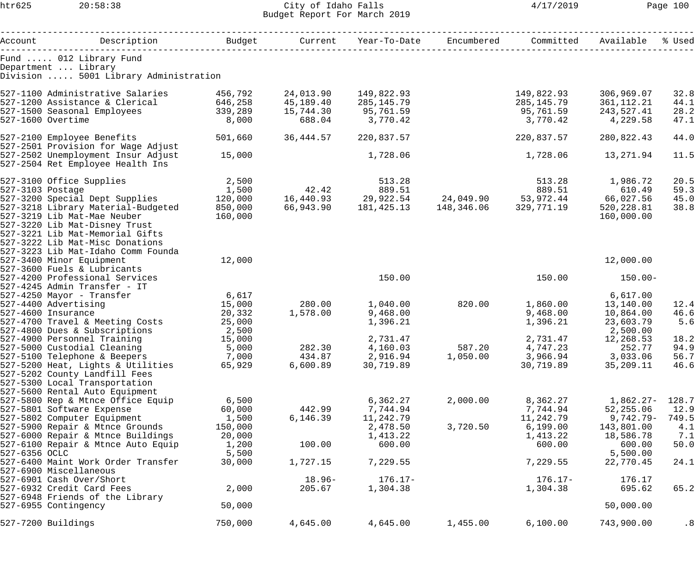## htr625 20:58:38 City of Idaho Falls 4/17/2019 Page 100 Budget Report For March 2019

| Account Description                                                                                                |         |           | Budget Current Year-To-Date Encumbered                                               |          | Committed  | Available   | % Used |
|--------------------------------------------------------------------------------------------------------------------|---------|-----------|--------------------------------------------------------------------------------------|----------|------------|-------------|--------|
| Fund  012 Library Fund                                                                                             |         |           |                                                                                      |          |            |             |        |
| Department  Library                                                                                                |         |           |                                                                                      |          |            |             |        |
| Division  5001 Library Administration                                                                              |         |           |                                                                                      |          |            |             |        |
| 527-1100 Administrative Salaries 156,792                                                                           |         | 24,013.90 | 149,822.93                                                                           |          | 149,822.93 | 306,969.07  | 32.8   |
|                                                                                                                    |         | 45,189.40 | 285,145.79                                                                           |          | 285,145.79 | 361,112.21  | 44.1   |
| 927-1100 Administrative Superiors<br>527-1200 Assistance & Clerical 646,258<br>527-1500 Seasonal Employees 339,289 |         | 15,744.30 | 95,761.59                                                                            |          | 95,761.59  | 243,527.41  | 28.2   |
| 527-1600 Overtime                                                                                                  | 8,000   | 688.04    | 3,770.42                                                                             |          | 3,770.42   | 4,229.58    | 47.1   |
|                                                                                                                    |         |           |                                                                                      |          |            |             |        |
| 527-2100 Employee Benefits                                                                                         | 501,660 | 36,444.57 | 220,837.57                                                                           |          | 220,837.57 | 280,822.43  | 44.0   |
| 527-2501 Provision for Wage Adjust                                                                                 |         |           |                                                                                      |          |            |             |        |
| 527-2502 Unemployment Insur Adjust                                                                                 | 15,000  |           | 1,728.06                                                                             |          | 1,728.06   | 13,271.94   | 11.5   |
| 527-2504 Ret Employee Health Ins                                                                                   |         |           |                                                                                      |          |            |             |        |
| 527-3100 Office Supplies                                                                                           | 2,500   |           | 513.28                                                                               |          | 513.28     | 1,986.72    | 20.5   |
| 527-3103 Postage                                                                                                   | 1,500   |           |                                                                                      |          |            |             | 59.3   |
| 527-3200 Special Dept Supplies                                                                                     |         |           | $1,500$<br>1,500 $16,440.93$<br>29,922.54 $24,049.90$<br>39.51 $53,972.44$ 66,027.56 |          |            |             | 45.0   |
| 527-3218 Library Material-Budgeted                                                                                 | 850,000 |           | 66,943.90    181,425.13    148,346.06                                                |          | 329,771.19 | 520, 228.81 | 38.8   |
| 527-3219 Lib Mat-Mae Neuber                                                                                        | 160,000 |           |                                                                                      |          |            | 160,000.00  |        |
| 527-3220 Lib Mat-Disney Trust                                                                                      |         |           |                                                                                      |          |            |             |        |
| 527-3221 Lib Mat-Memorial Gifts                                                                                    |         |           |                                                                                      |          |            |             |        |
| 527-3222 Lib Mat-Misc Donations                                                                                    |         |           |                                                                                      |          |            |             |        |
| 527-3223 Lib Mat-Idaho Comm Founda                                                                                 |         |           |                                                                                      |          |            |             |        |
| 527-3400 Minor Equipment                                                                                           | 12,000  |           |                                                                                      |          |            | 12,000.00   |        |
| 527-3600 Fuels & Lubricants                                                                                        |         |           |                                                                                      |          |            |             |        |
| 527-4200 Professional Services                                                                                     |         |           | 150.00                                                                               |          | 150.00     | $150.00 -$  |        |
| 527-4245 Admin Transfer - IT                                                                                       |         |           |                                                                                      |          |            |             |        |
| 527-4250 Mayor - Transfer                                                                                          | 6,617   |           |                                                                                      |          |            | 6,617.00    |        |
| 527-4400 Advertising                                                                                               | 15,000  | 280.00    | 1,040.00                                                                             | 820.00   | 1,860.00   | 13,140.00   | 12.4   |
| 527-4600 Insurance                                                                                                 | 20,332  | 1,578.00  | 9,468.00                                                                             |          | 9,468.00   | 10,864.00   | 46.6   |
| 527-4700 Travel & Meeting Costs                                                                                    | 25,000  |           | 1,396.21                                                                             |          | 1,396.21   | 23,603.79   | 5.6    |
| 527-4800 Dues & Subscriptions                                                                                      | 2,500   |           |                                                                                      |          |            | 2,500.00    |        |
| 527-4900 Personnel Training                                                                                        | 15,000  |           | 2,731.47                                                                             |          | 2,731.47   | 12,268.53   | 18.2   |
| 527-5000 Custodial Cleaning                                                                                        | 5,000   | 282.30    | 4,160.03                                                                             | 587.20   | 4,747.23   | 252.77      | 94.9   |
| 527-5100 Telephone & Beepers                                                                                       | 7,000   | 434.87    | 2,916.94                                                                             | 1,050.00 | 3,966.94   | 3,033.06    | 56.7   |
| 527-5200 Heat, Lights & Utilities                                                                                  | 65,929  | 6,600.89  | 30,719.89                                                                            |          | 30,719.89  | 35,209.11   | 46.6   |
| 527-5202 County Landfill Fees                                                                                      |         |           |                                                                                      |          |            |             |        |
| 527-5300 Local Transportation                                                                                      |         |           |                                                                                      |          |            |             |        |
| 527-5600 Rental Auto Equipment                                                                                     |         |           |                                                                                      |          |            |             |        |
| 527-5800 Rep & Mtnce Office Equip                                                                                  | 6,500   |           | 6,362.27                                                                             | 2,000.00 | 8,362.27   | $1,862.27-$ | 128.7  |
| 527-5801 Software Expense                                                                                          | 60,000  | 442.99    | 7,744.94                                                                             |          | 7,744.94   | 52,255.06   | 12.9   |
| 527-5802 Computer Equipment                                                                                        | 1,500   | 6,146.39  | 11,242.79                                                                            |          | 11,242.79  | $9,742.79-$ | 749.5  |
| 527-5900 Repair & Mtnce Grounds                                                                                    | 150,000 |           | 2,478.50                                                                             | 3,720.50 | 6,199.00   | 143,801.00  | 4.1    |
| 527-6000 Repair & Mtnce Buildings                                                                                  | 20,000  |           | 1,413.22                                                                             |          | 1,413.22   | 18,586.78   | 7.1    |
| 527-6100 Repair & Mtnce Auto Equip                                                                                 | 1,200   | 100.00    | 600.00                                                                               |          | 600.00     | 600.00      | 50.0   |
| 527-6356 OCLC                                                                                                      | 5,500   |           |                                                                                      |          |            | 5,500.00    |        |
| 527-6400 Maint Work Order Transfer                                                                                 | 30,000  | 1,727.15  | 7,229.55                                                                             |          | 7,229.55   | 22,770.45   | 24.1   |
| 527-6900 Miscellaneous                                                                                             |         |           |                                                                                      |          |            |             |        |
| 527-6901 Cash Over/Short                                                                                           |         | $18.96-$  | $176.17-$                                                                            |          | $176.17-$  | 176.17      |        |
| 527-6932 Credit Card Fees                                                                                          | 2,000   | 205.67    | 1,304.38                                                                             |          | 1,304.38   | 695.62      | 65.2   |
| 527-6948 Friends of the Library<br>527-6955 Contingency                                                            | 50,000  |           |                                                                                      |          |            | 50,000.00   |        |
|                                                                                                                    |         |           |                                                                                      |          |            |             |        |
| 527-7200 Buildings                                                                                                 | 750,000 | 4,645.00  | 4,645.00                                                                             | 1,455.00 | 6,100.00   | 743,900.00  | .8     |
|                                                                                                                    |         |           |                                                                                      |          |            |             |        |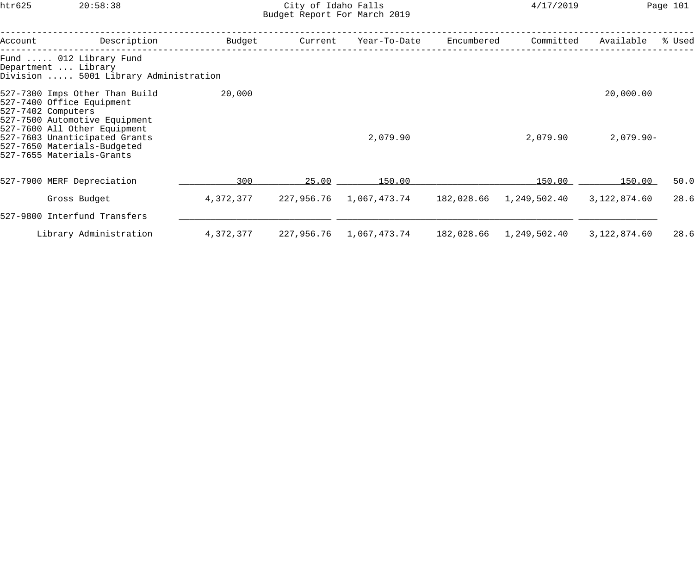htr625 20:58:38 City of Idaho Falls 4/17/2019 Page 101 Budget Report For March 2019

| Account | Description                                                                                                               | Budget    | Current    | Year-To-Date | Encumbered | Committed    | Available    | % Used |
|---------|---------------------------------------------------------------------------------------------------------------------------|-----------|------------|--------------|------------|--------------|--------------|--------|
|         | Fund  012 Library Fund<br>Department  Library<br>Division  5001 Library Administration                                    |           |            |              |            |              |              |        |
|         | 527-7300 Imps Other Than Build<br>527-7400 Office Equipment<br>527-7402 Computers<br>527-7500 Automotive Equipment        | 20,000    |            |              |            |              | 20,000.00    |        |
|         | 527-7600 All Other Equipment<br>527-7603 Unanticipated Grants<br>527-7650 Materials-Budgeted<br>527-7655 Materials-Grants |           |            | 2,079.90     |            | 2,079.90     | $2,079.90 -$ |        |
|         | 527-7900 MERF Depreciation                                                                                                | 300       | 25.00      | 150.00       |            | 150.00       | 150.00       | 50.0   |
|         | Gross Budget                                                                                                              | 4,372,377 | 227,956.76 | 1,067,473.74 | 182,028.66 | 1,249,502.40 | 3,122,874.60 | 28.6   |
|         | 527-9800 Interfund Transfers                                                                                              |           |            |              |            |              |              |        |
|         | Library Administration                                                                                                    | 4,372,377 | 227,956.76 | 1,067,473.74 | 182,028.66 | 1,249,502.40 | 3,122,874.60 | 28.6   |